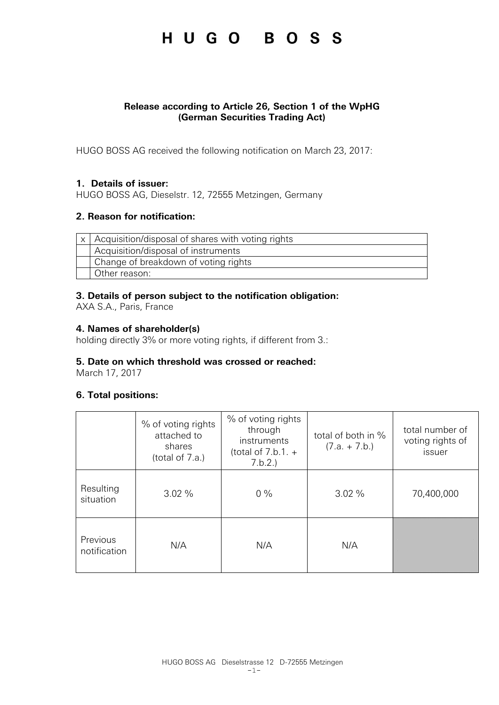## HUGO BOSS

### **Release according to Article 26, Section 1 of the WpHG (German Securities Trading Act)**

HUGO BOSS AG received the following notification on March 23, 2017:

### **1. Details of issuer:**

HUGO BOSS AG, Dieselstr. 12, 72555 Metzingen, Germany

### **2. Reason for notification:**

| $\vert x \vert$ Acquisition/disposal of shares with voting rights |
|-------------------------------------------------------------------|
| Acquisition/disposal of instruments                               |
| Change of breakdown of voting rights                              |
| Other reason:                                                     |

### **3. Details of person subject to the notification obligation:**

AXA S.A., Paris, France

## **4. Names of shareholder(s)**

holding directly 3% or more voting rights, if different from 3.:

#### **5. Date on which threshold was crossed or reached:**

March 17, 2017

### **6. Total positions:**

|                          | % of voting rights<br>attached to<br>shares<br>(total of 7.a.) | % of voting rights<br>through<br>instruments<br>(total of $7.b.1. +$<br>7.b.2. | total of both in %<br>$(7.a. + 7.b.)$ | total number of<br>voting rights of<br>issuer |
|--------------------------|----------------------------------------------------------------|--------------------------------------------------------------------------------|---------------------------------------|-----------------------------------------------|
| Resulting<br>situation   | $3.02\%$                                                       | $0\%$                                                                          | 3.02%                                 | 70,400,000                                    |
| Previous<br>notification | N/A                                                            | N/A                                                                            | N/A                                   |                                               |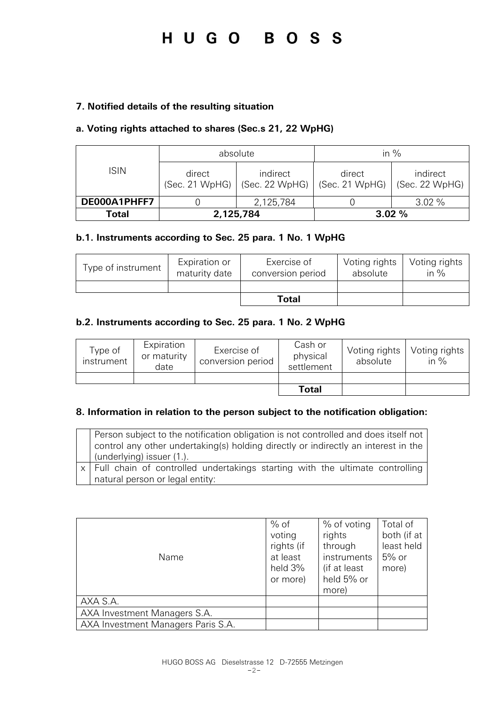# HUGO BOSS

### **7. Notified details of the resulting situation**

### **a. Voting rights attached to shares (Sec.s 21, 22 WpHG)**

|              | absolute                 |                            | in $%$                   |                            |
|--------------|--------------------------|----------------------------|--------------------------|----------------------------|
| <b>ISIN</b>  | direct<br>(Sec. 21 WpHG) | indirect<br>(Sec. 22 WpHG) | direct<br>(Sec. 21 WpHG) | indirect<br>(Sec. 22 WpHG) |
| DE000A1PHFF7 |                          | 2,125,784                  |                          | 3.02%                      |
| Total        | 2,125,784                |                            |                          | 3.02%                      |

### **b.1. Instruments according to Sec. 25 para. 1 No. 1 WpHG**

| Type of instrument | Expiration or<br>maturity date | Exercise of<br>conversion period | Voting rights<br>absolute | Voting rights<br>in $%$ |
|--------------------|--------------------------------|----------------------------------|---------------------------|-------------------------|
|                    |                                |                                  |                           |                         |
|                    |                                | Total                            |                           |                         |

### **b.2. Instruments according to Sec. 25 para. 1 No. 2 WpHG**

| Type of<br>instrument | Expiration<br>or maturity<br>date | Exercise of<br>conversion period | Cash or<br>physical<br>settlement | Voting rights<br>absolute | Voting rights<br>in $\%$ |
|-----------------------|-----------------------------------|----------------------------------|-----------------------------------|---------------------------|--------------------------|
|                       |                                   |                                  |                                   |                           |                          |
|                       |                                   |                                  | <b>Total</b>                      |                           |                          |

#### **8. Information in relation to the person subject to the notification obligation:**

| Person subject to the notification obligation is not controlled and does itself not<br>control any other undertaking(s) holding directly or indirectly an interest in the<br>(underlying) issuer (1.). |
|--------------------------------------------------------------------------------------------------------------------------------------------------------------------------------------------------------|
| x   Full chain of controlled undertakings starting with the ultimate controlling<br>natural person or legal entity:                                                                                    |

| Name                               | $%$ of<br>voting<br>rights (if<br>at least<br>held 3%<br>or more) | % of voting<br>rights<br>through<br>instruments<br>(if at least<br>held 5% or<br>more) | Total of<br>both (if at<br>least held<br>$5%$ or<br>more) |
|------------------------------------|-------------------------------------------------------------------|----------------------------------------------------------------------------------------|-----------------------------------------------------------|
| AXA S.A.                           |                                                                   |                                                                                        |                                                           |
| AXA Investment Managers S.A.       |                                                                   |                                                                                        |                                                           |
| AXA Investment Managers Paris S.A. |                                                                   |                                                                                        |                                                           |